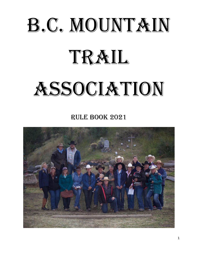# B.C. MOUNTAIN TRAIL **ASSOCIATION**

rule BOOK 2021

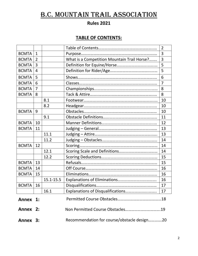## B.C. MOUNTAIN TRAIL association

## **Rules 2021**

## **TABLE OF CONTENTS:**

|              |                |               |                                             | $\overline{2}$ |
|--------------|----------------|---------------|---------------------------------------------|----------------|
| <b>BCMTA</b> | $\mathbf{1}$   |               |                                             | 3              |
| <b>BCMTA</b> | $\overline{2}$ |               | What is a Competition Mountain Trail Horse? | 3              |
| <b>BCMTA</b> | $\overline{3}$ |               |                                             | 5              |
| <b>BCMTA</b> | $\overline{4}$ |               |                                             | 5              |
| <b>BCMTA</b> | 5              |               |                                             | 6              |
| <b>BCMTA</b> | 6              |               |                                             | $\overline{7}$ |
| <b>BCMTA</b> | $\overline{7}$ |               |                                             | 8              |
| <b>BCMTA</b> | 8              |               |                                             | 8              |
|              |                | 8.1           |                                             | 10             |
|              |                | 8.2           |                                             | 10             |
| <b>BCMTA</b> | 9              |               |                                             | 10             |
|              |                | 9.1           |                                             | 11             |
| <b>BCMTA</b> | 10             |               |                                             | 12             |
| <b>BCMTA</b> | 11             |               |                                             | 13             |
|              |                | 11.1          |                                             | 13             |
|              |                | 11.2          |                                             | 14             |
| <b>BCMTA</b> | 12             |               |                                             | 14             |
|              |                | 12.1          |                                             | 14             |
|              |                | 12.2          |                                             | 15             |
| <b>BCMTA</b> | 13             |               |                                             | 15             |
| <b>BCMTA</b> | 14             |               |                                             | 16             |
| <b>BCMTA</b> | 15             |               |                                             | 16             |
|              |                | $15.1 - 15.5$ |                                             | 16             |
| <b>BCMTA</b> | 16             |               |                                             | 17             |
|              |                | 16.1          | Explanations of Disqualifications           | 17             |
| Annex 1:     |                |               |                                             |                |
| Annex 2:     |                |               |                                             |                |
| Annex 3:     |                |               | Recommendation for course/obstacle design20 |                |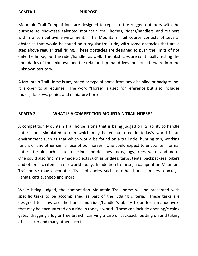#### **BCMTA 1 PURPOSE**

Mountain Trail Competitions are designed to replicate the rugged outdoors with the purpose to showcase talented mountain trail horses, riders/handlers and trainers within a competitive environment. The Mountain Trail course consists of several obstacles that would be found on a regular trail ride, with some obstacles that are a step above regular trail riding. These obstacles are designed to push the limits of not only the horse, but the rider/handler as well. The obstacles are continually testing the boundaries of the unknown and the relationship that drives the horse forward into the unknown territory.

A Mountain Trail Horse is any breed or type of horse from any discipline or background. It is open to all equines. The word "Horse" is used for reference but also includes mules, donkeys, ponies and miniature horses.

#### **BCMTA 2 WHAT IS A COMPETITION MOUNTAIN TRAIL HORSE?**

A competition Mountain Trail horse is one that is being judged on its ability to handle natural and simulated terrain which may be encountered in today's world in an environment such as that which would be found on a trail ride, hunting trip, working ranch, or any other similar use of our horses. One could expect to encounter normal natural terrain such as steep inclines and declines, rocks, logs, trees, water and more. One could also find man-made objects such as bridges, tarps, tents, backpackers, bikers and other such items in our world today. In addition to these, a competition Mountain Trail horse may encounter "live" obstacles such as other horses, mules, donkeys, llamas, cattle, sheep and more.

While being judged, the competition Mountain Trail horse will be presented with specific tasks to be accomplished as part of the judging criteria. These tasks are designed to showcase the horse and rider/handler's ability to perform manoeuvres that may be encountered on a ride in today's world. These can include opening/closing gates, dragging a log or tree branch, carrying a tarp or backpack, putting on and taking off a slicker and many other such tasks.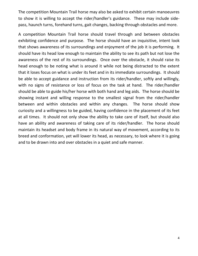The competition Mountain Trail horse may also be asked to exhibit certain manoeuvres to show it is willing to accept the rider/handler's guidance. These may include sidepass, haunch turns, forehand turns, gait changes, backing through obstacles and more.

A competition Mountain Trail horse should travel through and between obstacles exhibiting confidence and purpose. The horse should have an inquisitive, intent look that shows awareness of its surroundings and enjoyment of the job it is performing. It should have its head low enough to maintain the ability to see its path but not lose the awareness of the rest of its surroundings. Once over the obstacle, it should raise its head enough to be noting what is around it while not being distracted to the extent that it loses focus on what is under its feet and in its immediate surroundings. It should be able to accept guidance and instruction from its rider/handler, softly and willingly, with no signs of resistance or loss of focus on the task at hand. The rider/handler should be able to guide his/her horse with both hand and leg aids. The horse should be showing instant and willing response to the smallest signal from the rider/handler between and within obstacles and within any changes. The horse should show curiosity and a willingness to be guided, having confidence in the placement of its feet at all times. It should not only show the ability to take care of itself, but should also have an ability and awareness of taking care of its rider/handler. The horse should maintain its headset and body frame in its natural way of movement, according to its breed and conformation, yet will lower its head, as necessary, to look where it is going and to be drawn into and over obstacles in a quiet and safe manner.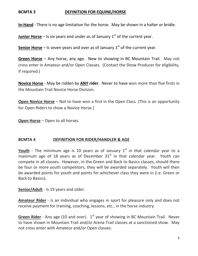#### **BCMTA 3 DEFINITION FOR EQUINE/HORSE**

**In-Hand** - There is no age limitation for the horse. May be shown in a halter or bridle.

**Junior Horse** – Is six years and under as of January  $1<sup>st</sup>$  of the current year.

**Senior Horse** – Is seven years and over as of January  $1<sup>st</sup>$  of the current year.

**Green Horse** – Any horse, any age. New to showing in BC Mountain Trail. May not cross enter in Amateur and/or Open Classes. (Contact the Show Producer for eligibility, if required.)

**Novice Horse** - May be ridden by **ANY rider**. Never to have won more than five firsts in the Mountain Trail Novice Horse Division.

**Open Novice Horse** – Not to have won a first in the Open Class. (This is an opportunity for Open Riders to show a Novice Horse.)

**Open Horse** – Open to all horses.

#### **BCMTA 4 DEFINITION FOR RIDER/HANDLER & AGE**

**Youth** - The minimum age is 10 years as of January  $1<sup>st</sup>$  in that calendar year to a maximum age of 18 years as of December  $31<sup>st</sup>$  in that calendar year. Youth can compete in all classes. However, in the Green and Back to Basics classes, should there be four or more youth competitors, they will be awarded separately. Youth will then be awarded points for youth and points for whichever class they were in (i.e. Green or Back to Basics).

**Senior/Adult** - Is 19 years and older.

**Amateur Rider** - Is an individual who engages in sport for pleasure only and does not receive payment for training, coaching, lessons, etc., in the horse industry.

Green Rider - Any age (10 and over). 1<sup>st</sup> year of showing in BC Mountain Trail. Never to have shown in Mountain Trail and/or Arena Trail classes at a sanctioned show. May not cross enter with Amateur and/or Open classes.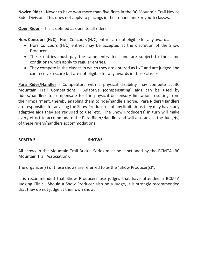**Novice Rider** - Never to have won more than five firsts in the BC Mountain Trail Novice Rider Division. This does not apply to placings in the in-hand and/or youth classes.

**Open Rider** - This is defined as open to all riders.

**Hors Concours (H/C)** - Hors Concours (H/C) entries are not eligible for any awards.

- Hors Concours (H/C) entries may be accepted at the discretion of the Show Producer.
- These entries must pay the same entry fees and are subject to the same conditions which apply to regular entries.
- They compete in the classes in which they are entered as H/C and are judged and can receive a score but are not eligible for any awards in those classes.

**Para Rider/Handler** - Competitors with a physical disability may compete at BC Mountain Trail Competitions. Adaptive (compensating) aids can be used by riders/handlers to compensate for the physical or sensory limitation resulting from their impairment, thereby enabling them to ride/handle a horse. Para Riders/Handlers are responsible for advising the Show Producer(s) of any limitations they may have, any adaptive aids they are required to use, etc. The Show Producer(s) in turn will make every effort to accommodate the Para Rider/Handler and will also advise the Judge(s) of these riders/handlers accommodations.

#### **BCMTA 5 SHOWS**

All shows in the Mountain Trail Buckle Series must be sanctioned by the BCMTA (BC Mountain Trail Association).

The organizer(s) of these shows are referred to as the "Show Producer(s)".

It is recommended that Show Producers use judges that have attended a BCMTA Judging Clinic. Should a Show Producer also be a Judge, it is strongly recommended that they do not judge at their own show.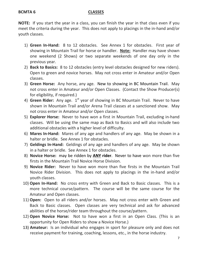#### **BCMTA 6 CLASSES**

**NOTE:** If you start the year in a class, you can finish the year in that class even if you meet the criteria during the year. This does not apply to placings in the in-hand and/or youth classes.

- 1) **Green In-Hand:** 8 to 12 obstacles. See Annex 1 for obstacles. First year of showing in Mountain Trail for horse or handler. **Note:** Handler may have shown one weekend (2 Shows) or two separate weekends of one day only in the previous year.
- 2) **Back to Basics:** 8 to 12 obstacles (entry level obstacles designed for new riders). Open to green and novice horses. May not cross enter in Amateur and/or Open classes.
- 3) **Green Horse:** Any horse, any age. New to showing in BC Mountain Trail. May not cross enter in Amateur and/or Open Classes. (Contact the Show Producer(s) for eligibility, if required.)
- 4) Green Rider: Any age. 1<sup>st</sup> year of showing in BC Mountain Trail. Never to have shown in Mountain Trail and/or Arena Trail classes at a sanctioned show. May not cross enter in Amateur and/or Open classes.
- 5) **Explorer Horse:** Never to have won a first in Mountain Trail, excluding in-hand classes. Will be using the same map as Back to Basics and will also include two additional obstacles with a higher level of difficulty.
- 6) **Mares In-Hand:** Mares of any age and handlers of any age. May be shown in a halter or bridle. See Annex 1 for obstacles.
- 7) **Geldings In-Hand:** Geldings of any age and handlers of any age. May be shown in a halter or bridle. See Annex 1 for obstacles.
- 8) **Novice Horse:** may be ridden by **ANY rider**. Never to have won more than five firsts in the Mountain Trail Novice Horse Division.
- 9) **Novice Rider:** Never to have won more than five firsts in the Mountain Trail Novice Rider Division. This does not apply to placings in the in-hand and/or youth classes.
- 10) **Open In-Hand:** No cross entry with Green and Back to Basic classes. This is a more technical course/pattern. The course will be the same course for the Amateur and Open classes.
- 11) **Open:** Open to all riders and/or horses. May not cross enter with Green and Back to Basic classes. Open classes are very technical and ask for advanced abilities of the horse/rider team throughout the course/pattern.
- 12) **Open Novice Horse:** Not to have won a first in an Open Class. (This is an opportunity for Open Riders to show a Novice Horse.)
- 13) **Amateur:** Is an individual who engages in sport for pleasure only and does not receive payment for training, coaching, lessons, etc., in the horse industry.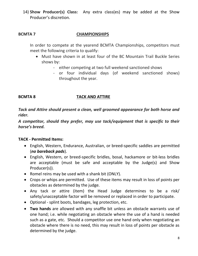14) **Show Producer(s) Class:** Any extra class(es) may be added at the Show Producer's discretion.

## **BCMTA 7 CHAMPIONSHIPS**

In order to compete at the yearend BCMTA Championships, competitors must meet the following criteria to qualify:

- Must have shown in at least four of the BC Mountain Trail Buckle Series shows by:
	- either competing at two full weekend sanctioned shows
	- or four individual days (of weekend sanctioned shows) throughout the year.

#### **BCMTA 8 TACK AND ATTIRE**

*Tack and Attire should present a clean, well groomed appearance for both horse and rider.* 

*A competitor, should they prefer, may use tack/equipment that is specific to their horse's breed.*

#### **TACK - Permitted Items:**

- English, Western, Endurance, Australian, or breed-specific saddles are permitted (*no bareback pads*).
- English, Western, or breed-specific bridles, bosal, hackamore or bit-less bridles are acceptable (must be safe and acceptable by the Judge(s) and Show Producer(s)).
- Romel reins may be used with a shank bit (ONLY).
- Crops or whips are permitted. Use of these items may result in loss of points per obstacles as determined by the judge.
- Any tack or attire (item) the Head Judge determines to be a risk/ safety/unacceptable factor will be removed or replaced in order to participate.
- Optional splint boots, bandages, leg protection, etc.
- **Two hands** are allowed with any snaffle bit unless an obstacle warrants use of one hand; i.e. while negotiating an obstacle where the use of a hand is needed such as a gate, etc. Should a competitor use one hand only when negotiating an obstacle where there is no need, this may result in loss of points per obstacle as determined by the judge.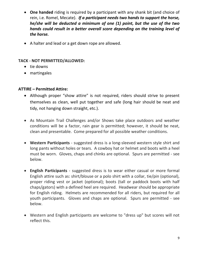- **One handed** riding is required by a participant with any shank bit (and choice of rein, i.e. Romel, Mecate). *If a participant needs two hands to support the horse, he/she will be deducted a minimum of one (1) point, but the use of the two hands could result in a better overall score depending on the training level of the horse.*
- A halter and lead or a get down rope are allowed.

#### **TACK - NOT PERMITTED/ALLOWED:**

- tie downs
- martingales

#### **ATTIRE – Permitted Attire:**

- Although proper "show attire" is not required, riders should strive to present themselves as clean, well put together and safe (long hair should be neat and tidy, not hanging down straight, etc.).
- As Mountain Trail Challenges and/or Shows take place outdoors and weather conditions will be a factor, rain gear is permitted; however, it should be neat, clean and presentable. Come prepared for all possible weather conditions.
- **Western Participants** suggested dress is a long-sleeved western style shirt and long pants without holes or tears. A cowboy hat or helmet and boots with a heel must be worn. Gloves, chaps and chinks are optional. Spurs are permitted - see below.
- **English Participants** suggested dress is to wear either casual or more formal English attire such as: shirt/blouse or a polo shirt with a collar, tie/pin (optional), proper riding vest or jacket (optional); boots (tall or paddock boots with half chaps/gators) with a defined heel are required. Headwear should be appropriate for English riding. Helmets are recommended for all riders, but required for all youth participants. Gloves and chaps are optional. Spurs are permitted - see below.
- Western and English participants are welcome to "dress up" but scores will not reflect this.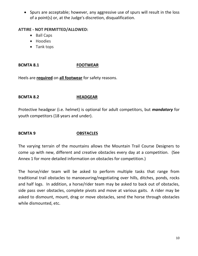Spurs are acceptable; however, any aggressive use of spurs will result in the loss of a point(s) or, at the Judge's discretion, disqualification.

#### **ATTIRE - NOT PERMITTED/ALLOWED:**

- Ball Caps
- Hoodies
- Tank tops

## **BCMTA 8.1 FOOTWEAR**

Heels are **required** on **all footwear** for safety reasons.

## **BCMTA 8.2 HEADGEAR**

Protective headgear (i.e. helmet) is optional for adult competitors, but *mandatory* for youth competitors (18 years and under).

## **BCMTA 9 OBSTACLES**

The varying terrain of the mountains allows the Mountain Trail Course Designers to come up with new, different and creative obstacles every day at a competition. (See Annex 1 for more detailed information on obstacles for competition.)

The horse/rider team will be asked to perform multiple tasks that range from traditional trail obstacles to manoeuvring/negotiating over hills, ditches, ponds, rocks and half logs. In addition, a horse/rider team may be asked to back out of obstacles, side pass over obstacles, complete pivots and move at various gaits. A rider may be asked to dismount, mount, drag or move obstacles, send the horse through obstacles while dismounted, etc.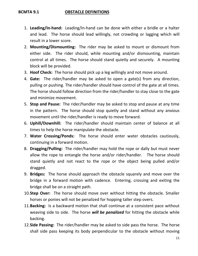#### **BCMTA 9.1 OBSTACLE DEFINITIONS**

- 1. **Leading/In-hand:** Leading/In-hand can be done with either a bridle or a halter and lead. The horse should lead willingly, not crowding or lagging which will result in a lower score.
- 2. **Mounting/Dismounting:** The rider may be asked to mount or dismount from either side. The rider should, while mounting and/or dismounting, maintain control at all times. The horse should stand quietly and securely. A mounting block will be provided.
- 3. **Hoof Check:** The horse should pick up a leg willingly and not move around.
- 4. **Gate:** The rider/handler may be asked to open a gate(s) from any direction, pulling or pushing. The rider/handler should have control of the gate at all times. The horse should follow direction from the rider/handler to stay close to the gate and minimize movement.
- 5. **Stop and Pause:** The rider/handler may be asked to stop and pause at any time in the pattern. The horse should stop quietly and stand without any anxious movement until the rider/handler is ready to move forward.
- 6. **Uphill/Downhill:** The rider/handler should maintain center of balance at all times to help the horse manipulate the obstacle.
- 7. **Water Crossing/Ponds:** The horse should enter water obstacles cautiously, continuing in a forward motion.
- 8. **Dragging/Pulling:** The rider/handler may hold the rope or dally but must never allow the rope to entangle the horse and/or rider/handler. The horse should stand quietly and not react to the rope or the object being pulled and/or dragged.
- 9. **Bridges:** The horse should approach the obstacle squarely and move over the bridge in a forward motion with cadence. Entering, crossing and exiting the bridge shall be on a straight path.
- 10.**Step Over:** The horse should move over without hitting the obstacle. Smaller horses or ponies will not be penalized for hopping taller step overs.
- 11.**Backing:** Is a backward motion that shall continue at a consistent pace without weaving side to side. The horse *will be penalized* for hitting the obstacle while backing.
- 12.**Side Passing:** The rider/handler may be asked to side pass the horse. The horse shall side pass keeping its body perpendicular to the obstacle without moving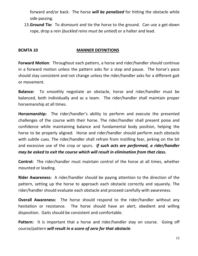forward and/or back. The horse *will be penalized* for hitting the obstacle while side passing.

13.**Ground Tie:** To dismount and tie the horse to the ground. Can use a get-down rope, drop a rein (*buckled reins must be untied*) or a halter and lead.

#### **BCMTA 10 MANNER DEFINITIONS**

**Forward Motion**: Throughout each pattern, a horse and rider/handler should continue in a forward motion unless the pattern asks for a stop and pause. The horse's pace should stay consistent and not change unless the rider/handler asks for a different gait or movement.

**Balance:** To smoothly negotiate an obstacle, horse and rider/handler must be balanced, both individually and as a team. The rider/handler shall maintain proper horsemanship at all times.

**Horsemanship:** The rider/handler's ability to perform and execute the presented challenges of the course with their horse. The rider/handler shall present poise and confidence while maintaining balance and fundamental body position, helping the horse to be properly aligned. Horse and rider/handler should perform each obstacle with subtle cues. The rider/handler shall refrain from instilling fear, jerking on the bit and excessive use of the crop or spurs. *If such acts are performed, a rider/handler may be asked to exit the course which will result in elimination from that class.* 

**Control:** The rider/handler must maintain control of the horse at all times, whether mounted or leading.

**Rider Awareness:** A rider/handler should be paying attention to the direction of the pattern, setting up the horse to approach each obstacle correctly and squarely. The rider/handler should evaluate each obstacle and proceed carefully with awareness.

**Overall Awareness:** The horse should respond to the rider/handler without any hesitation or resistance. The horse should have an alert, obedient and willing disposition. Gaits should be consistent and comfortable.

**Pattern:** It is important that a horse and rider/handler stay on course. Going off course/pattern *will result in a score of zero for that obstacle*.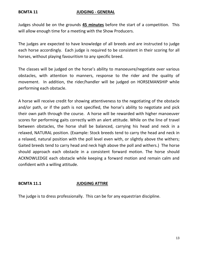#### **BCMTA 11 JUDGING - GENERAL**

Judges should be on the grounds **45 minutes** before the start of a competition. This will allow enough time for a meeting with the Show Producers.

The judges are expected to have knowledge of all breeds and are instructed to judge each horse accordingly. Each judge is required to be consistent in their scoring for all horses, without playing favouritism to any specific breed.

The classes will be judged on the horse's ability to manoeuvre/negotiate over various obstacles, with attention to manners, response to the rider and the quality of movement. In addition, the rider/handler will be judged on HORSEMANSHIP while performing each obstacle.

A horse will receive credit for showing attentiveness to the negotiating of the obstacle and/or path, or if the path is not specified, the horse's ability to negotiate and pick their own path through the course. A horse will be rewarded with higher manoeuver scores for performing gaits correctly with an alert attitude. While on the line of travel between obstacles, the horse shall be balanced, carrying his head and neck in a relaxed, NATURAL position. (Example: Stock breeds tend to carry the head and neck in a relaxed, natural position with the poll level even with, or slightly above the withers; Gaited breeds tend to carry head and neck high above the poll and withers.) The horse should approach each obstacle in a consistent forward motion. The horse should ACKNOWLEDGE each obstacle while keeping a forward motion and remain calm and confident with a willing attitude.

## **BCMTA 11.1 JUDGING ATTIRE**

The judge is to dress professionally. This can be for any equestrian discipline.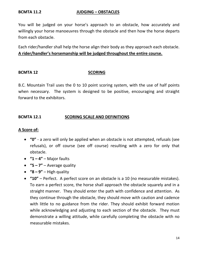#### **BCMTA 11.2 JUDGING – OBSTACLES**

You will be judged on your horse's approach to an obstacle, how accurately and willingly your horse manoeuvres through the obstacle and then how the horse departs from each obstacle.

Each rider/handler shall help the horse align their body as they approach each obstacle. **A rider/handler's horsemanship will be judged throughout the entire course.** 

#### **BCMTA 12 SCORING**

B.C. Mountain Trail uses the 0 to 10 point scoring system, with the use of half points when necessary. The system is designed to be positive, encouraging and straight forward to the exhibitors.

#### **BCMTA 12.1 SCORING SCALE AND DEFINITIONS**

#### **A Score of:**

- **"0"** a zero will only be applied when an obstacle is not attempted, refusals (see refusals), or off course (see off course) resulting with a zero for only that obstacle.
- $\bullet$  "1 4" Major faults
- **"5 – 7"** Average quality
- $\bullet$  "**8 9**" High quality
- **"10"** Perfect. A perfect score on an obstacle is a 10 (no measurable mistakes). To earn a perfect score, the horse shall approach the obstacle squarely and in a straight manner. They should enter the path with confidence and attention. As they continue through the obstacle, they should move with caution and cadence with little to no guidance from the rider. They should exhibit forward motion while acknowledging and adjusting to each section of the obstacle. They must demonstrate a willing attitude, while carefully completing the obstacle with no measurable mistakes.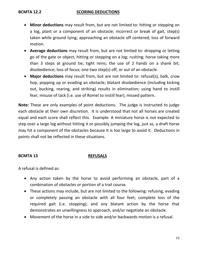#### **BCMTA 12.2 SCORING DEDUCTIONS**

- **Minor deductions** may result from, but are not limited to: hitting or stepping on a log, plant or a component of an obstacle; incorrect or break of gait, step(s) taken while ground tying; approaching an obstacle off centered; loss of forward motion.
- **Average deductions** may result from, but are not limited to: dropping or letting go of the gate or object; hitting or stepping on a log; rushing; horse taking more than 3 steps at ground tie; tight reins; the use of 2 hands on a shank bit; disobedience; loss of focus; one-two step(s) off, or out of an obstacle.
- **Major deductions** may result from, but are not limited to: refusal(s), balk, crow hop, popping up or evading an obstacle; blatant disobedience (including kicking out, bucking, rearing, and striking) results in elimination; using hand to instill fear; misuse of tack (i.e. use of Romel to instill fear), missed pattern.

**Note:** These are only examples of point deductions. The judge is instructed to judge each obstacle at their own discretion. It is understood that not all horses are created equal and each score shall reflect this. Example: A miniature horse is not expected to step over a large log without hitting it or possibly jumping the log, just as, a draft horse may hit a component of the obstacles because it is too large to avoid it. Deductions in points shall not be reflected in these situations.

#### **BCMTA 13 REFUSALS**

A refusal is defined as:

- Any action taken by the horse to avoid performing an obstacle, part of a combination of obstacles or portion of a trail course.
- These actions may include, but are not limited to the following: refusing, evading or completely passing an obstacle with all four feet; complete loss of the required gait (i.e. stopping); and any blatant action by the horse that demonstrates an unwillingness to approach, and/or negotiate an obstacle.
- Movement of the horse in a side to side and/or backwards motion is a refusal.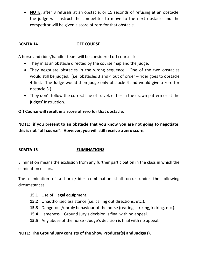**NOTE:** after 3 refusals at an obstacle, or 15 seconds of refusing at an obstacle, the judge will instruct the competitor to move to the next obstacle and the competitor will be given a score of zero for that obstacle.

## **BCMTA 14 OFF COURSE**

A horse and rider/handler team will be considered off course if:

- They miss an obstacle directed by the course map and the judge.
- They negotiate obstacles in the wrong sequence. One of the two obstacles would still be judged. (i.e. obstacles 3 and 4 out of order – rider goes to obstacle 4 first. The Judge would then judge only obstacle 4 and would give a zero for obstacle 3.)
- They don't follow the correct line of travel, either in the drawn pattern or at the judges' instruction.

**Off Course will result in a score of zero for that obstacle.**

**NOTE: if you present to an obstacle that you know you are not going to negotiate, this is not "off course". However, you will still receive a zero score.**

## **BCMTA 15 ELIMINATIONS**

Elimination means the exclusion from any further participation in the class in which the elimination occurs.

The elimination of a horse/rider combination shall occur under the following circumstances:

- **15.1** Use of illegal equipment.
- **15.2** Unauthorized assistance (i.e. calling out directions, etc.).
- **15.3** Dangerous/unruly behaviour of the horse (rearing, striking, kicking, etc.).
- **15.4** Lameness Ground Jury's decision is final with no appeal.
- **15.5** Any abuse of the horse Judge's decision is final with no appeal.

## **NOTE: The Ground Jury consists of the Show Producer(s) and Judge(s).**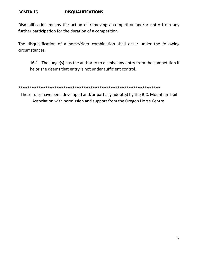#### **BCMTA 16 DISQUALIFICATIONS**

Disqualification means the action of removing a competitor and/or entry from any further participation for the duration of a competition.

The disqualification of a horse/rider combination shall occur under the following circumstances:

**16.1** The judge(s) has the authority to dismiss any entry from the competition if he or she deems that entry is not under sufficient control.

\*\*\*\*\*\*\*\*\*\*\*\*\*\*\*\*\*\*\*\*\*\*\*\*\*\*\*\*\*\*\*\*\*\*\*\*\*\*\*\*\*\*\*\*\*\*\*\*\*\*\*\*\*\*\*\*\*\*\*\*\*\*\*

These rules have been developed and/or partially adopted by the B.C. Mountain Trail Association with permission and support from the Oregon Horse Centre.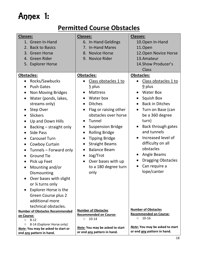# Annex 1:

# **Permitted Course Obstacles**

| <b>Classes:</b>                        | Classes:                                                              | <b>Classes:</b>                                                       |
|----------------------------------------|-----------------------------------------------------------------------|-----------------------------------------------------------------------|
| 1. Green In-Hand                       | 6. In-Hand Geldings                                                   | 10. Open In-Hand                                                      |
| 2. Back to Basics                      | 7. In-Hand Mares                                                      | 11.Open                                                               |
| 3. Green Horse                         | 8. Novice Horse                                                       | 12. Open Novice Horse                                                 |
| 4. Green Rider                         | 9. Novice Rider                                                       | 13.Amateur                                                            |
| 5. Explorer Horse                      |                                                                       | 14. Show Producer's                                                   |
|                                        |                                                                       | <b>Class</b>                                                          |
| <b>Obstacles:</b>                      | Obstacles:                                                            | Obstacles:                                                            |
| Rocks/Sawbucks                         | Class obstacles 1 to                                                  | Class obstacles 1 to                                                  |
| <b>Push Gates</b>                      | $\overline{5}$ plus                                                   | $\frac{9}{2}$ plus                                                    |
| <b>Non Moving Bridges</b><br>$\bullet$ | <b>Mattress</b>                                                       | <b>Water Box</b>                                                      |
| Water (ponds, lakes,<br>$\bullet$      | Water box                                                             | <b>Squish Box</b>                                                     |
| streams only)                          | <b>Ditches</b><br>$\bullet$                                           | <b>Back in Ditches</b><br>$\bullet$                                   |
| Step Over<br>$\bullet$                 | Flag or raising other<br>$\bullet$                                    | Turn on Base (can<br>$\bullet$                                        |
| <b>Slickers</b><br>$\bullet$           | obstacles over horse                                                  | be a 360 degree                                                       |
| Up and Down Hills<br>$\bullet$         | Tunnel<br>$\bullet$                                                   | turn)                                                                 |
| Backing – straight only<br>$\bullet$   | <b>Suspension Bridge</b><br>$\bullet$                                 | Back through gates                                                    |
| <b>Side Pass</b><br>$\bullet$          | <b>Rolling Bridge</b><br>$\bullet$                                    | and tunnels                                                           |
| <b>Carousel Turn</b>                   | <b>Tipping Bridge</b><br>$\bullet$                                    | Increased level of                                                    |
| Cowboy Curtain<br>$\bullet$            | <b>Straight Beams</b><br>$\bullet$                                    | difficulty on all                                                     |
| Tunnels - Forward only<br>$\bullet$    | <b>Balance Beam</b><br>$\bullet$                                      | obstacles                                                             |
| <b>Ground Tie</b><br>$\bullet$         | Jog/Trot<br>$\bullet$                                                 | Angle Beams                                                           |
| Pick up Feet<br>$\bullet$              | Over bases with up<br>$\bullet$                                       | <b>Dragging Obstacles</b>                                             |
| Mounting and/or<br>$\bullet$           | to a 180 degree turn                                                  | Can require a                                                         |
| Dismounting                            | only                                                                  | lope/canter                                                           |
| Over bases with slight                 |                                                                       |                                                                       |
| or 1/4 turns only                      |                                                                       |                                                                       |
| <b>Explorer Horse is the</b>           |                                                                       |                                                                       |
| Green Course plus 2                    |                                                                       |                                                                       |
| additional more                        |                                                                       |                                                                       |
| technical obstacles.                   |                                                                       |                                                                       |
| <b>Number of Obstacles Recommended</b> | <b>Number of Obstacles</b><br><b>Recommended on Course:</b>           | <b>Number of Obstacles</b><br><b>Recommended on Course:</b>           |
| on Course:<br>$0 8-12$                 | $10 - 14$<br>$\circ$                                                  | $10 - 16$<br>$\circ$                                                  |
| 8-14 (Explorer Horse only)<br>$\circ$  |                                                                       |                                                                       |
| Note: You may be asked to start or     | <b>Note:</b> You may be asked to start<br>or end any pattern in hand. | <b>Note:</b> You may be asked to start<br>or end any pattern in hand. |
| end any pattern in hand.               |                                                                       |                                                                       |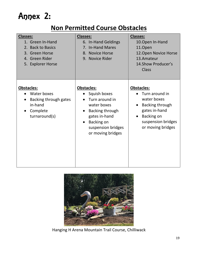# Annex 2:

# **Non Permitted Course Obstacles**

| <b>Classes:</b><br>1. Green In-Hand<br>2. Back to Basics<br>3. Green Horse<br>4. Green Rider<br>5. Explorer Horse | <b>Classes:</b><br>6. In-Hand Geldings<br>7. In-Hand Mares<br>8. Novice Horse<br>9. Novice Rider                                                                             | <b>Classes:</b><br>10. Open In-Hand<br>11.Open<br>12. Open Novice Horse<br>13.Amateur<br>14. Show Producer's<br><b>Class</b>                           |
|-------------------------------------------------------------------------------------------------------------------|------------------------------------------------------------------------------------------------------------------------------------------------------------------------------|--------------------------------------------------------------------------------------------------------------------------------------------------------|
| <b>Obstacles:</b><br>Water boxes<br>Backing through gates<br>in-hand<br>Complete<br>turnaround(s)                 | <b>Obstacles:</b><br>Squish boxes<br>Turn around in<br>water boxes<br>Backing through<br>gates in-hand<br>Backing on<br>$\bullet$<br>suspension bridges<br>or moving bridges | <b>Obstacles:</b><br>Turn around in<br>water boxes<br>Backing through<br>gates in-hand<br><b>Backing on</b><br>suspension bridges<br>or moving bridges |



Hanging H Arena Mountain Trail Course, Chilliwack